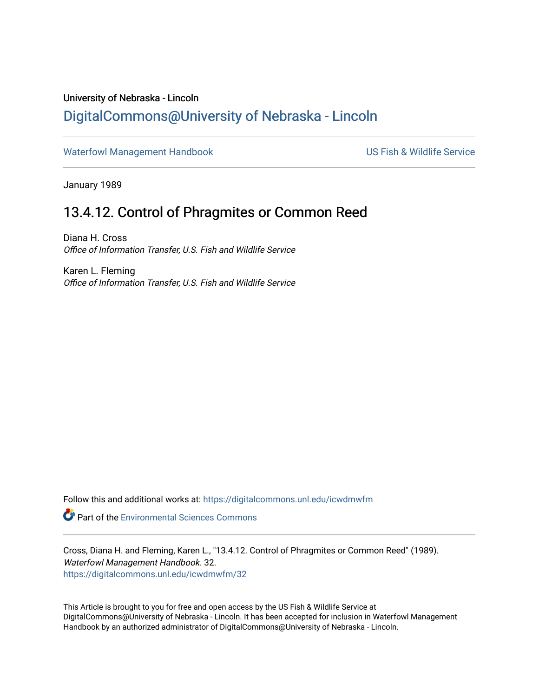## University of Nebraska - Lincoln [DigitalCommons@University of Nebraska - Lincoln](https://digitalcommons.unl.edu/)

[Waterfowl Management Handbook](https://digitalcommons.unl.edu/icwdmwfm) Waterfowl Management Handbook US Fish & Wildlife Service

January 1989

## 13.4.12. Control of Phragmites or Common Reed

Diana H. Cross Office of Information Transfer, U.S. Fish and Wildlife Service

Karen L. Fleming Office of Information Transfer, U.S. Fish and Wildlife Service

Follow this and additional works at: [https://digitalcommons.unl.edu/icwdmwfm](https://digitalcommons.unl.edu/icwdmwfm?utm_source=digitalcommons.unl.edu%2Ficwdmwfm%2F32&utm_medium=PDF&utm_campaign=PDFCoverPages) 

**Part of the [Environmental Sciences Commons](http://network.bepress.com/hgg/discipline/167?utm_source=digitalcommons.unl.edu%2Ficwdmwfm%2F32&utm_medium=PDF&utm_campaign=PDFCoverPages)** 

Cross, Diana H. and Fleming, Karen L., "13.4.12. Control of Phragmites or Common Reed" (1989). Waterfowl Management Handbook. 32. [https://digitalcommons.unl.edu/icwdmwfm/32](https://digitalcommons.unl.edu/icwdmwfm/32?utm_source=digitalcommons.unl.edu%2Ficwdmwfm%2F32&utm_medium=PDF&utm_campaign=PDFCoverPages)

This Article is brought to you for free and open access by the US Fish & Wildlife Service at DigitalCommons@University of Nebraska - Lincoln. It has been accepted for inclusion in Waterfowl Management Handbook by an authorized administrator of DigitalCommons@University of Nebraska - Lincoln.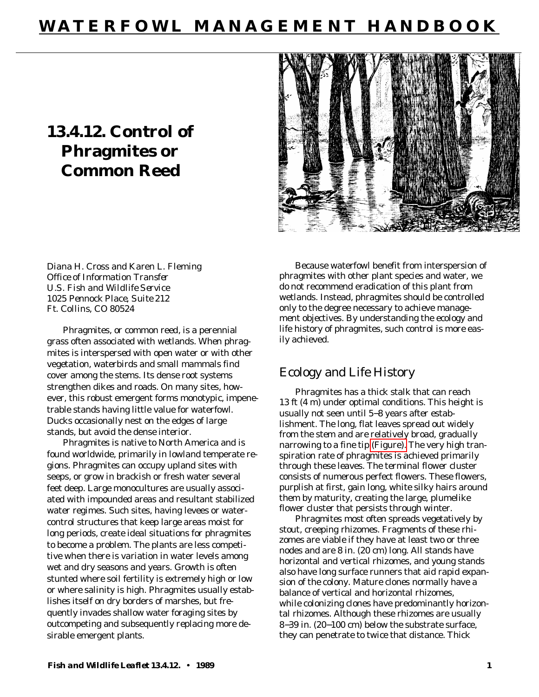# **WATERFOWL MANAGEMENT HANDBOOK**

# **13.4.12. Control of Phragmites or Common Reed**



Diana H. Cross and Karen L. Fleming *Office of Information Transfer U.S. Fish and Wildlife Service 1025 Pennock Place, Suite 212 Ft. Collins, CO 80524*

Phragmites, or common reed, is a perennial grass often associated with wetlands. When phragmites is interspersed with open water or with other vegetation, waterbirds and small mammals find cover among the stems. Its dense root systems strengthen dikes and roads. On many sites, however, this robust emergent forms monotypic, impenetrable stands having little value for waterfowl. Ducks occasionally nest on the edges of large stands, but avoid the dense interior.

Phragmites is native to North America and is found worldwide, primarily in lowland temperate regions. Phragmites can occupy upland sites with seeps, or grow in brackish or fresh water several feet deep. Large monocultures are usually associated with impounded areas and resultant stabilized water regimes. Such sites, having levees or watercontrol structures that keep large areas moist for long periods, create ideal situations for phragmites to become a problem. The plants are less competitive when there is variation in water levels among wet and dry seasons and years. Growth is often stunted where soil fertility is extremely high or low or where salinity is high. Phragmites usually establishes itself on dry borders of marshes, but frequently invades shallow water foraging sites by outcompeting and subsequently replacing more desirable emergent plants.

Because waterfowl benefit from interspersion of phragmites with other plant species and water, we do not recommend eradication of this plant from wetlands. Instead, phragmites should be controlled only to the degree necessary to achieve management objectives. By understanding the ecology and life history of phragmites, such control is more easily achieved.

### Ecology and Life History

Phragmites has a thick stalk that can reach 13 ft (4 m) under optimal conditions. This height is usually not seen until 5−8 years after establishment. The long, flat leaves spread out widely from the stem and are relatively broad, gradually narrowing to a fine tip [\(Figure\).](#page-2-0) The very high transpiration rate of phragmites is achieved primarily through these leaves. The terminal flower cluster consists of numerous perfect flowers. These flowers, purplish at first, gain long, white silky hairs around them by maturity, creating the large, plumelike flower cluster that persists through winter.

Phragmites most often spreads vegetatively by stout, creeping rhizomes. Fragments of these rhizomes are viable if they have at least two or three nodes and are 8 in. (20 cm) long. All stands have horizontal and vertical rhizomes, and young stands also have long surface runners that aid rapid expansion of the colony. Mature clones normally have a balance of vertical and horizontal rhizomes, while colonizing clones have predominantly horizontal rhizomes. Although these rhizomes are usually 8−39 in. (20−100 cm) below the substrate surface, they can penetrate to twice that distance. Thick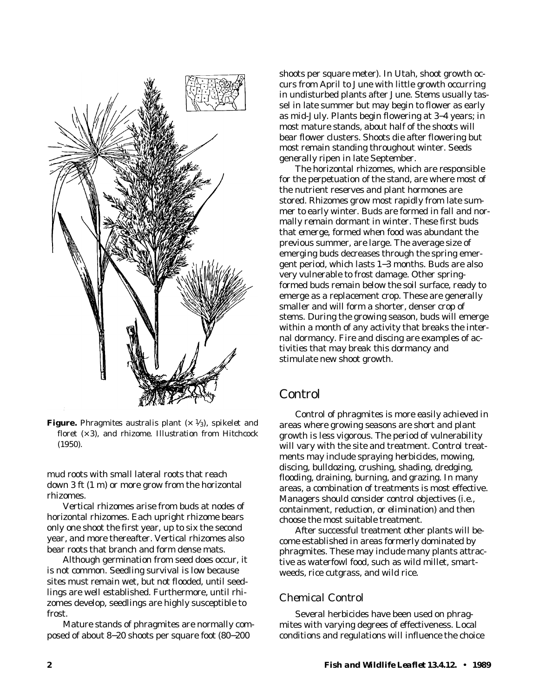<span id="page-2-0"></span>

**Figure.** *Phragmites australis* plant  $(x \frac{1}{3})$ , spikelet and floret (× 3), and rhizome. *Illustration from Hitchcock (1950)*.

mud roots with small lateral roots that reach down 3 ft (1 m) or more grow from the horizontal rhizomes.

Vertical rhizomes arise from buds at nodes of horizontal rhizomes. Each upright rhizome bears only one shoot the first year, up to six the second year, and more thereafter. Vertical rhizomes also bear roots that branch and form dense mats.

Although germination from seed does occur, it is not common. Seedling survival is low because sites must remain wet, but not flooded, until seedlings are well established. Furthermore, until rhizomes develop, seedlings are highly susceptible to frost.

Mature stands of phragmites are normally composed of about 8−20 shoots per square foot (80−200

shoots per square meter). In Utah, shoot growth occurs from April to June with little growth occurring in undisturbed plants after June. Stems usually tassel in late summer but may begin to flower as early as mid-July. Plants begin flowering at 3−4 years; in most mature stands, about half of the shoots will bear flower clusters. Shoots die after flowering but most remain standing throughout winter. Seeds generally ripen in late September.

The horizontal rhizomes, which are responsible for the perpetuation of the stand, are where most of the nutrient reserves and plant hormones are stored. Rhizomes grow most rapidly from late summer to early winter. Buds are formed in fall and normally remain dormant in winter. These first buds that emerge, formed when food was abundant the previous summer, are large. The average size of emerging buds decreases through the spring emergent period, which lasts 1−3 months. Buds are also very vulnerable to frost damage. Other springformed buds remain below the soil surface, ready to emerge as a replacement crop. These are generally smaller and will form a shorter, denser crop of stems. During the growing season, buds will emerge within a month of any activity that breaks the internal dormancy. Fire and discing are examples of activities that may break this dormancy and stimulate new shoot growth.

### Control

Control of phragmites is more easily achieved in areas where growing seasons are short and plant growth is less vigorous. The period of vulnerability will vary with the site and treatment. Control treatments may include spraying herbicides, mowing, discing, bulldozing, crushing, shading, dredging, flooding, draining, burning, and grazing. In many areas, a combination of treatments is most effective. Managers should consider control objectives (i.e., containment, reduction, or elimination) and then choose the most suitable treatment.

After successful treatment other plants will become established in areas formerly dominated by phragmites. These may include many plants attractive as waterfowl food, such as wild millet, smartweeds, rice cutgrass, and wild rice.

#### *Chemical Control*

Several herbicides have been used on phragmites with varying degrees of effectiveness. Local conditions and regulations will influence the choice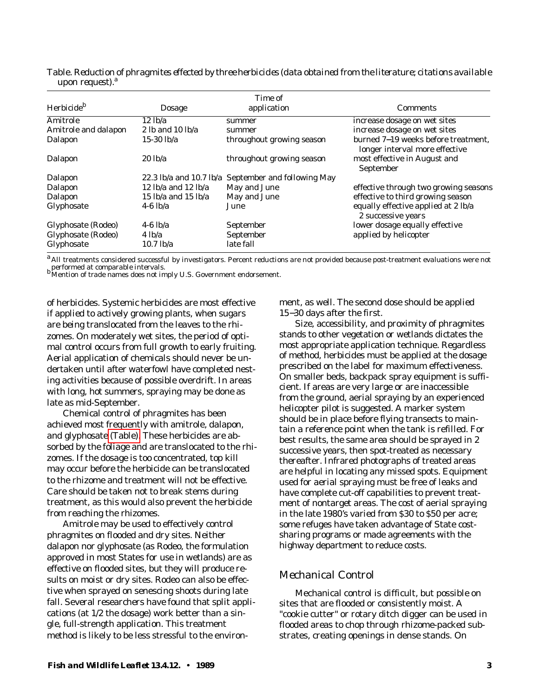|                             | Table. Reduction of phragmites effected by three herbicides (data obtained from the literature; citations available |  |  |
|-----------------------------|---------------------------------------------------------------------------------------------------------------------|--|--|
| upon request). <sup>a</sup> |                                                                                                                     |  |  |

| Herbicide <sup>b</sup> | Dosage                                          | Time of<br>application                              | <b>Comments</b>                                                       |
|------------------------|-------------------------------------------------|-----------------------------------------------------|-----------------------------------------------------------------------|
| Amitrole               | 12 lb/a                                         | summer                                              | increase dosage on wet sites                                          |
| Amitrole and dalapon   | 2 lb and $10$ lb/a                              | summer                                              | increase dosage on wet sites                                          |
| Dalapon                | 15-30 $\frac{h}{a}$                             | throughout growing season                           | burned 7–19 weeks before treatment,<br>longer interval more effective |
| Dalapon                | $20$ lb/a                                       | throughout growing season                           | most effective in August and<br>September                             |
| Dalapon                |                                                 | 22.3 lb/a and 10.7 lb/a September and following May |                                                                       |
| Dalapon                | 12 $\frac{1}{2}$ lb/a and 12 $\frac{1}{2}$ lb/a | May and June                                        | effective through two growing seasons                                 |
| Dalapon                | 15 $\frac{1}{2}$ lb/a and 15 $\frac{1}{2}$ lb/a | May and June                                        | effective to third growing season                                     |
| Glyphosate             | $4-6$ lb/a                                      | June                                                | equally effective applied at 2 lb/a<br>2 successive years             |
| Glyphosate (Rodeo)     | $4-6$ lb/a                                      | September                                           | lower dosage equally effective                                        |
| Glyphosate (Rodeo)     | 4 lb/a                                          | September                                           | applied by helicopter                                                 |
| Glyphosate             | $10.7$ lb/a                                     | late fall                                           |                                                                       |

<sup>a</sup> All treatments considered successful by investigators. Percent reductions are not provided because post-treatment evaluations were not performed at comparable intervals.<br>
bMention of trade names does not imply U.S. Government endorsement.

of herbicides. Systemic herbicides are most effective if applied to actively growing plants, when sugars are being translocated from the leaves to the rhizomes. On moderately wet sites, the period of optimal control occurs from full growth to early fruiting. Aerial application of chemicals should never be undertaken until after waterfowl have completed nesting activities because of possible overdrift. In areas with long, hot summers, spraying may be done as late as mid-September.

Chemical control of phragmites has been achieved most frequently with amitrole, dalapon, and glyphosate (Table). These herbicides are absorbed by the foliage and are translocated to the rhizomes. If the dosage is too concentrated, top kill may occur before the herbicide can be translocated to the rhizome and treatment will not be effective. Care should be taken not to break stems during treatment, as this would also prevent the herbicide from reaching the rhizomes.

Amitrole may be used to effectively control phragmites on flooded and dry sites. Neither dalapon nor glyphosate (as Rodeo, the formulation approved in most States for use in wetlands) are as effective on flooded sites, but they will produce results on moist or dry sites. Rodeo can also be effective when sprayed on senescing shoots during late fall. Several researchers have found that split applications (at 1/2 the dosage) work better than a single, full-strength application. This treatment method is likely to be less stressful to the environment, as well. The second dose should be applied 15−30 days after the first.

Size, accessibility, and proximity of phragmites stands to other vegetation or wetlands dictates the most appropriate application technique. Regardless of method, herbicides must be applied at the dosage prescribed on the label for maximum effectiveness. On smaller beds, backpack spray equipment is sufficient. If areas are very large or are inaccessible from the ground, aerial spraying by an experienced helicopter pilot is suggested. A marker system should be in place before flying transects to maintain a reference point when the tank is refilled. For best results, the same area should be sprayed in 2 successive years, then spot-treated as necessary thereafter. Infrared photographs of treated areas are helpful in locating any missed spots. Equipment used for aerial spraying must be free of leaks and have complete cut-off capabilities to prevent treatment of nontarget areas. The cost of aerial spraying in the late 1980's varied from \$30 to \$50 per acre; some refuges have taken advantage of State costsharing programs or made agreements with the highway department to reduce costs.

#### *Mechanical Control*

Mechanical control is difficult, but possible on sites that are flooded or consistently moist. A "cookie cutter" or rotary ditch digger can be used in flooded areas to chop through rhizome-packed substrates, creating openings in dense stands. On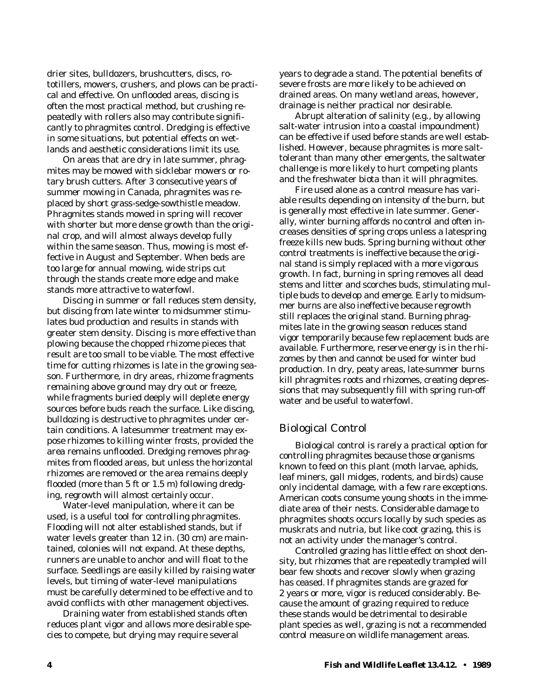drier sites, bulldozers, brushcutters, discs, rototillers, mowers, crushers, and plows can be practical and effective. On unflooded areas, discing is often the most practical method, but crushing repeatedly with rollers also may contribute significantly to phragmites control. Dredging is effective in some situations, but potential effects on wetlands and aesthetic considerations limit its use.

On areas that are dry in late summer, phragmites may be mowed with sicklebar mowers or rotary brush cutters. After 3 consecutive years of summer mowing in Canada, phragmites was replaced by short grass-sedge-sowthistle meadow. Phragmites stands mowed in spring will recover with shorter but more dense growth than the original crop, and will almost always develop fully within the same season. Thus, mowing is most effective in August and September. When beds are too large for annual mowing, wide strips cut through the stands create more edge and make stands more attractive to waterfowl.

Discing in summer or fall reduces stem density, but discing from late winter to midsummer stimulates bud production and results in stands with greater stem density. Discing is more effective than plowing because the chopped rhizome pieces that result are too small to be viable. The most effective time for cutting rhizomes is late in the growing season. Furthermore, in dry areas, rhizome fragments remaining above ground may dry out or freeze, while fragments buried deeply will deplete energy sources before buds reach the surface. Like discing, bulldozing is destructive to phragmites under certain conditions. A latesummer treatment may expose rhizomes to killing winter frosts, provided the area remains unflooded. Dredging removes phragmites from flooded areas, but unless the horizontal rhizomes are removed or the area remains deeply flooded (more than 5 ft or 1.5 m) following dredging, regrowth will almost certainly occur.

Water-level manipulation, where it can be used, is a useful tool for controlling phragmites. Flooding will not alter established stands, but if water levels greater than 12 in. (30 cm) are maintained, colonies will not expand. At these depths, runners are unable to anchor and will float to the surface. Seedlings are easily killed by raising water levels, but timing of water-level manipulations must be carefully determined to be effective and to avoid conflicts with other management objectives.

Draining water from established stands often reduces plant vigor and allows more desirable species to compete, but drying may require several

years to degrade a stand. The potential benefits of severe frosts are more likely to be achieved on drained areas. On many wetland areas, however, drainage is neither practical nor desirable.

Abrupt alteration of salinity (e.g., by allowing salt-water intrusion into a coastal impoundment) can be effective if used before stands are well established. However, because phragmites is more salttolerant than many other emergents, the saltwater challenge is more likely to hurt competing plants and the freshwater biota than it will phragmites.

Fire used alone as a control measure has variable results depending on intensity of the burn, but is generally most effective in late summer. Generally, winter burning affords no control and often increases densities of spring crops unless a latespring freeze kills new buds. Spring burning without other control treatments is ineffective because the original stand is simply replaced with a more vigorous growth. In fact, burning in spring removes all dead stems and litter and scorches buds, stimulating multiple buds to develop and emerge. Early to midsummer burns are also ineffective because regrowth still replaces the original stand. Burning phragmites late in the growing season reduces stand vigor temporarily because few replacement buds are available. Furthermore, reserve energy is in the rhizomes by then and cannot be used for winter bud production. In dry, peaty areas, late-summer burns kill phragmites roots and rhizomes, creating depressions that may subsequently fill with spring run-off water and be useful to waterfowl.

#### *Biological Control*

Biological control is rarely a practical option for controlling phragmites because those organisms known to feed on this plant (moth larvae, aphids, leaf miners, gall midges, rodents, and birds) cause only incidental damage, with a few rare exceptions. American coots consume young shoots in the immediate area of their nests. Considerable damage to phragmites shoots occurs locally by such species as muskrats and nutria, but like coot grazing, this is not an activity under the manager's control.

Controlled grazing has little effect on shoot density, but rhizomes that are repeatedly trampled will bear few shoots and recover slowly when grazing has ceased. If phragmites stands are grazed for 2 years or more, vigor is reduced considerably. Because the amount of grazing required to reduce these stands would be detrimental to desirable plant species as well, grazing is not a recommended control measure on wildlife management areas.